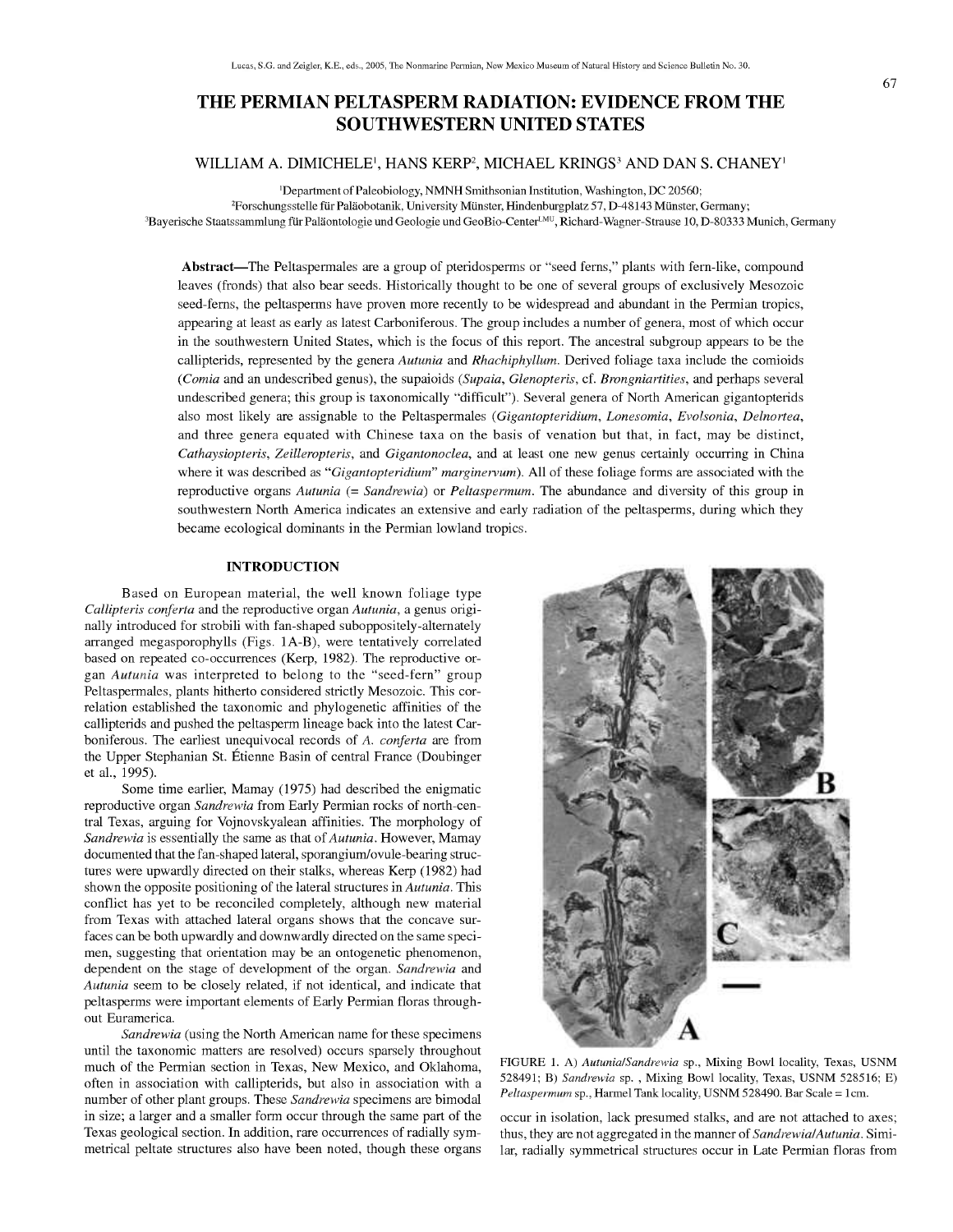# THE PERMIAN PELTASPERM RADIATION: EVIDENCE FROM THE SOUTHWESTERN UNITED STATES

# **WILLIAM A. DIMICHELE', HANS KERP^ MICHAEL KRINGS' AND DAN S. CHANEY'**

'Department of Paleobiology, NMNH Smithsonian Institution, Washington, DC 20560; <sup>2</sup>Forschungsstelle für Paläobotanik, University Münster, Hindenburgplatz 57, D-48143 Münster, Germany;

<sup>3</sup>Bayerische Staatssammlung für Paläontologie und Geologie und GeoBio-Center<sup>LMU</sup>, Richard-Wagner-Strause 10, D-80333 Munich, Germany

Abstract—The Peltaspermales are a group of pteridosperms or "seed ferns," plants with fern-like, compound leaves (fronds) that also bear seeds. Historically thought to be one of several groups of exclusively Mesozoic seed-ferns, the peltasperms have proven more recently to be widespread and abundant in the Permian tropics, appearing at least as early as latest Carboniferous. The group includes a number of genera, most of which occur in the southwestern United States, which is the focus of this report. The ancestral subgroup appears to be the callipterids, represented by the genera *Autunia* and *Rhachiphyllum.* Derived foliage taxa include the comioids *(Comia* and an undescribed genus), the supaioids *(Supaia, Glenopteris,* cf. *Brongniartities,* and perhaps several undescribed genera; this group is taxonomically "difficult"). Several genera of North American gigantopterids also most likely are assignable to the Peltaspermales *(Gigantopteridium, Lonesomia, Evolsonia, Delnortea,* and three genera equated with Chinese taxa on the basis of venation but that, in fact, may be distinct, *Cathaysiopteris, Zeilleropteris,* and *Gigantonoclea,* and at least one new genus certainly occurring in China where it was described as *"Gigantopteridium" marginervum).* All of these foliage forms are associated with the reproductive organs *Autunia* (= *Sandrewia)* or *Peltaspermum.* The abundance and diversity of this group in southwestern North America indicates an extensive and early radiation of the peltasperms, during which they became ecological dominants in the Permian lowland tropics.

#### **INTRODUCTION**

Based on European material, the well known foliage type *Callipteris conferta* and the reproductive organ *Autunia,* a genus originally introduced for strobili with fan-shaped suboppositely-altemately arranged megasporophylls (Figs. lA-B), were tentatively correlated based on repeated co-occurrences (Kerp, 1982). The reproductive organ *Autunia* was interpreted to belong to the "seed-fern" group Peltaspermales, plants hitherto considered strictly Mesozoic. This correlation established the taxonomic and phylogenetic affinities of the callipterids and pushed the peltasperm lineage back into the latest Carboniferous. The earliest unequivocal records of *A. conferta* are from the Upper Stephanian St. Etienne Basin of central France (Doubinger et al., 1995).

Some time earlier, Mamay (1975) had described the enigmatic reproductive organ *Sandrewia* from Early Permian rocks of north-central Texas, arguing for Vojnovskyalean affinities. The morphology of *Sandrewia* is essentially the same as that of Autunia. However, Mamay documented that the fan-shaped lateral, sporangium/ovule-bearing structures were upwardly directed on their stalks, whereas Kerp (1982) had shown the opposite positioning of the lateral structures in *Autunia.* This conflict has yet to be reconciled completely, although new material from Texas with attached lateral organs shows that the concave surfaces can be both upwardly and downwardly directed on the same specimen, suggesting that orientation may be an ontogenetic phenomenon, dependent on the stage of development of the organ. *Sandrewia* and *Autunia* seem to be closely related, if not identical, and indicate that peltasperms were important elements of Early Permian floras throughout Euramerica.

*Sandrewia* (using the North American name for these specimens until the taxonomic matters are resolved) occurs sparsely throughout much of the Permian section in Texas, New Mexico, and Oklahoma, often in association with callipterids, but also in association with a number of other plant groups. These *Sandrewia* specimens are bimodal in size; a larger and a smaller form occur through the same part of the Texas geological section. In addition, rare occurrences of radially symmetrical peltate structures also have been noted, though these organs



FIGURE 1. A) *AutunialSandrewia* sp.. Mixing Bowl locality, Texas, USNM 528491; B) *Sandrewia* sp. , Mixing Bowl locality, Texas, USNM 528516; E) *Peltaspermum* sp., Harmel Tank locality, USNM 528490. Bar Scale = Icm.

occur in isolation, lack presumed stalks, and are not attached to axes; thus, they are not aggregated in **the** manner *of Sandrewia/Autunia.* Similar, radially symmetrical structures occur in Late Permian floras from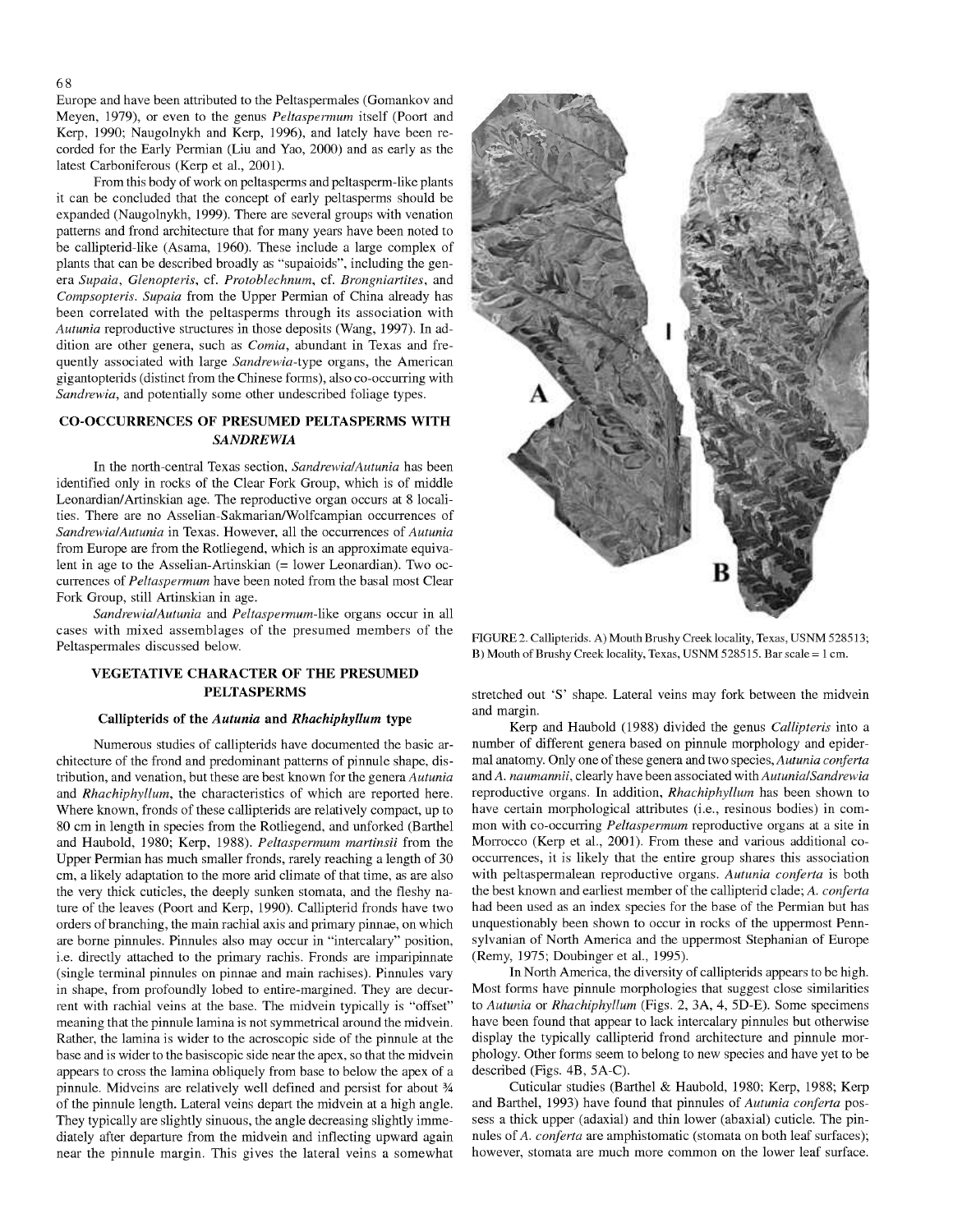Europe and have been attributed to the Peltaspermales (Gomankov and Meyen, 1979), or even to the genus *Peltaspermum* itself (Poort and Kerp, 1990; Naugolnykh and Kerp, 1996), and lately have been recorded for the Early Permian (Liu and Yao, 2000) and as early as the latest Carboniferous (Kerp et al., 2001).

From this body of work on peltasperms and peltasperm-like plants it can be concluded that the concept of early peltasperms should be expanded (Naugolnykh, 1999). There are several groups with venation patterns and frond architecture that for many years have been noted to be callipterid-like (Asama, 1960). These include a large complex of plants that can be described broadly as "supaioids", including the genera *Supaia, Glenopteris,* cf. *Protoblechnum,* cf. *Brongniartites,* and *Compsopteris. Supaia* from the Upper Permian of China already has been correlated with the peltasperms through its association with *Autunia* reproductive structures in those deposits (Wang, 1997). In addition are other genera, such as *Comia,* abundant in Texas and frequently associated with large *Sandrewia-type* organs, the American gigantopterids (distinct from the Chinese forms), also co-occurring with *Sandrewia,* and potentially some other undescribed foliage types.

# **CO-OCCURRENCES OF PIfESUMED PELTASPERMS WITH** *SANDREWIA*

In the north-central Texas section, *SandrewialAutunia* has been identified only in rocks of the Clear Fork Group, which is of middle Leonardian/Artinskian age. The reproductive organ occurs at 8 localities. There are no Asselian-Sakmarian/Wolfcampian occurrences of *Sandrewial Autunia* in Texas. However, all the occurrences of *Autunia* from Europe are from the Rotliegend, which is an approximate equivalent in age to the Asselian-Artinskian (= lower Leonardian). Two occurrences of *Peltaspermum* have been noted from the basal most Clear Fork Group, still Artinskian in age.

*Sandrewial Autunia* and *Peltaspermum-like* organs occur in all cases with mixed assemblages of the presumed members of the Peltaspermales discussed below.

### **VEGETATIVE CHARACTER OF THE PRESUMED PELTASPERMS**

#### **Callipterids of the** *Autunia* **and** *Rhachiphyllum* **type**

Numerous studies of callipterids have documented the basic architecture of the frond and predominant patterns of pinnule shape, distribution, and venation, but these are best known for the genera *Autunia* and *Rhachiphyllum,* the characteristics of which are reported here. Where known, fronds of these callipterids are relatively compact, up to 80 cm in length in species from the Rotliegend, and unforked (Barthel and Haubold, 1980; Kerp, 1988). *Peltaspermum martinsii* from the Upper Permian has much smaller fronds, rarely reaching a length of 30 cm, a likely adaptation to the more arid climate of that time, as are also the very thick cuticles, the deeply sunken stomata, and the fleshy nature of the leaves (Poort and Kerp, 1990). Callipterid fronds have two orders of branching, the main rachial axis and primary pinnae, on which are borne pinnules. Pinnules also may occur in "intercalary" position, i.e. directly attached to the primary rachis. Fronds are imparipinnate (single terminal pinnules on pinnae and main rachises). Pinnules vary in shape, from profoundly lobed to entire-margined. They are decurrent with rachial veins at the base. The midvein typically is "offset" meaning that the pinnule lamina is not symmetrical around the midvein. Rather, the lamina is wider to the acroscopic side of the pinnule at the base and is wider to the basiscopic side near the apex, so that the midvein appears to cross the lamina obliquely from base to below the apex of a pinnule. Midveins are relatively well defined and persist for about % of the pinnule length. Lateral veins depart the midvein at a high angle. They typically are slightly sinuous, the angle decreasing slightly immediately after departure from the midvein and inflecting upward again near the pinnule margin. This gives the lateral veins a somewhat



FIGURE 2. Callipterids. A) Mouth Brushy Creek locality, Texas, USNM 528513; B) Mouth of Brushy Creek locality, Texas, USNM 528515. Bar scale = <sup>1</sup> cm.

stretched out 'S' shape. Lateral veins may fork between the midvein and margin.

Kerp and Haubold (1988) divided the genus *Callipteris* into a number of different genera based on pinnule morphology and epidermal anatomy. Only one ofthese genera and two *species, Autunia conferta* and A. *naumannii,* clearly have been associated *with AutunialSandrewia* reproductive organs. In addition, *Rhachiphyllum* has been shown to have certain morphological attributes (i.e., resinous bodies) in common with co-occurring *Peltaspermum* reproductive organs at a site in Morrocco (Kerp et al., 2001). From these and various additional cooccurrences, it is likely that the entire group shares this association with peltaspermalean reproductive organs. *Autunia conferta* is both the best known and earliest member of the callipterid clade; *A. conferta* had been used as an index species for the base of the Permian but has unquestionably been shown to occur in rocks of the uppermost Pennsylvanian of North America and the uppermost Stephanian of Europe (Remy, 1975; Doubinger et al., 1995).

In North America, the diversity of callipterids appears to be high. Most forms have pinnule morphologies that suggest close similarities to *Autunia* or *Rhachiphyllum* (Figs. 2, 3A, 4, 5D-E). Some specimens have been found that appear to lack intercalary pinnules but otherwise display the typically callipterid frond architecture and pinnule morphology. Other forms seem to belong to new species and have yet to be described (Figs. 4B, 5A-C).

Cuticular studies (Barthel & Haubold, 1980; Kerp, 1988; Kerp and Barthel, 1993) have found that pinnules *oi Autunia conferta* possess a thick upper (adaxial) and thin lower (abaxial) cuticle. The pinnules of A. *conferta* are amphistomatic (stomata on both leaf surfaces); however, stomata are much more common on the lower leaf surface.

#### 68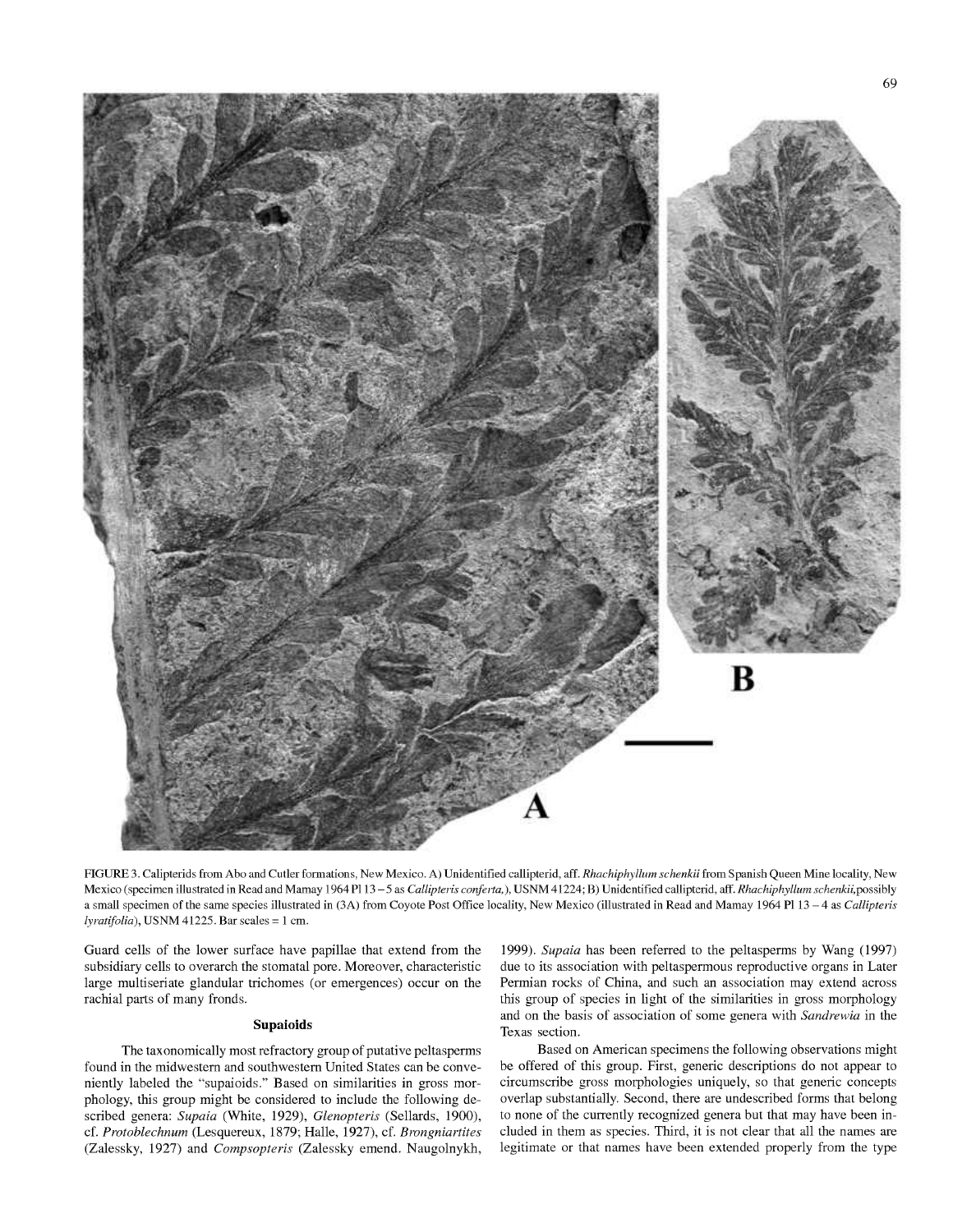

FIGURE 3. Calipterids from Abo and Cutler formations, New Mexico. A) Unidentified callipterid, aff. *Rhachiphyllum schenkii* from Spanish Queen Mine locality, New Mexico (specimen illustrated in Read and Mamay <sup>1964</sup> PI <sup>13</sup> -5 as *Callipteris confeita,),* USNM 41224; B) Unidentified callipterid, aff. *Rhachiphyllum schenkii,possihly* <sup>a</sup> small specimen of the same species illustrated in (3A) from Coyote Post Office locality. New Mexico (illustrated in Read and Mamay <sup>1964</sup> PI <sup>13</sup> - <sup>4</sup> as *Callipteiis lyiatifolia),* USNM 41225. Bar scales = <sup>1</sup> cm.

Guard cells of the lower surface have papillae that extend from the subsidiary cells to overarch the stomatal pore. Moreover, characteristic large multiseriate glandular trichomes (or emergences) occur on the rachial parts of many fronds.

#### **Supaioids**

The taxonomically most refractory group of putative peltasperms found in the midwestern and southwestern United States can be conveniently labeled the "supaioids." Based on similarities in gross morphology, this group might be considered to include the following described genera: *Supaia* (White, 1929), *Glenopteris* (Sellards, 1900), cf. *Protoblechnum* (Lesquereux, 1879; Halle, 1927), cf. *Brongniartites* (Zalessky, 1927) and *Compsopteris* (Zalessky emend. Naugolnykh,

1999). *Supaia* has been referred to the peltasperms by Wang (1997) due to its association with peltaspermous reproductive organs in Later Permian rocks of China, and such an association may extend across this group of species in light of the similarities in gross morphology and on the basis of association of some genera with *Sandrewia* in the Texas section.

Based on American specimens **the** following observations **might** be offered of this group. First, generic descriptions do not appear to circumscribe gross morphologies uniquely, so that generic concepts overlap substantially. Second, there are undescribed forms that belong to none of the currently recognized genera but that may have been included in them as species. Third, it is not clear that all the names are legitimate or that names have been extended properly from the type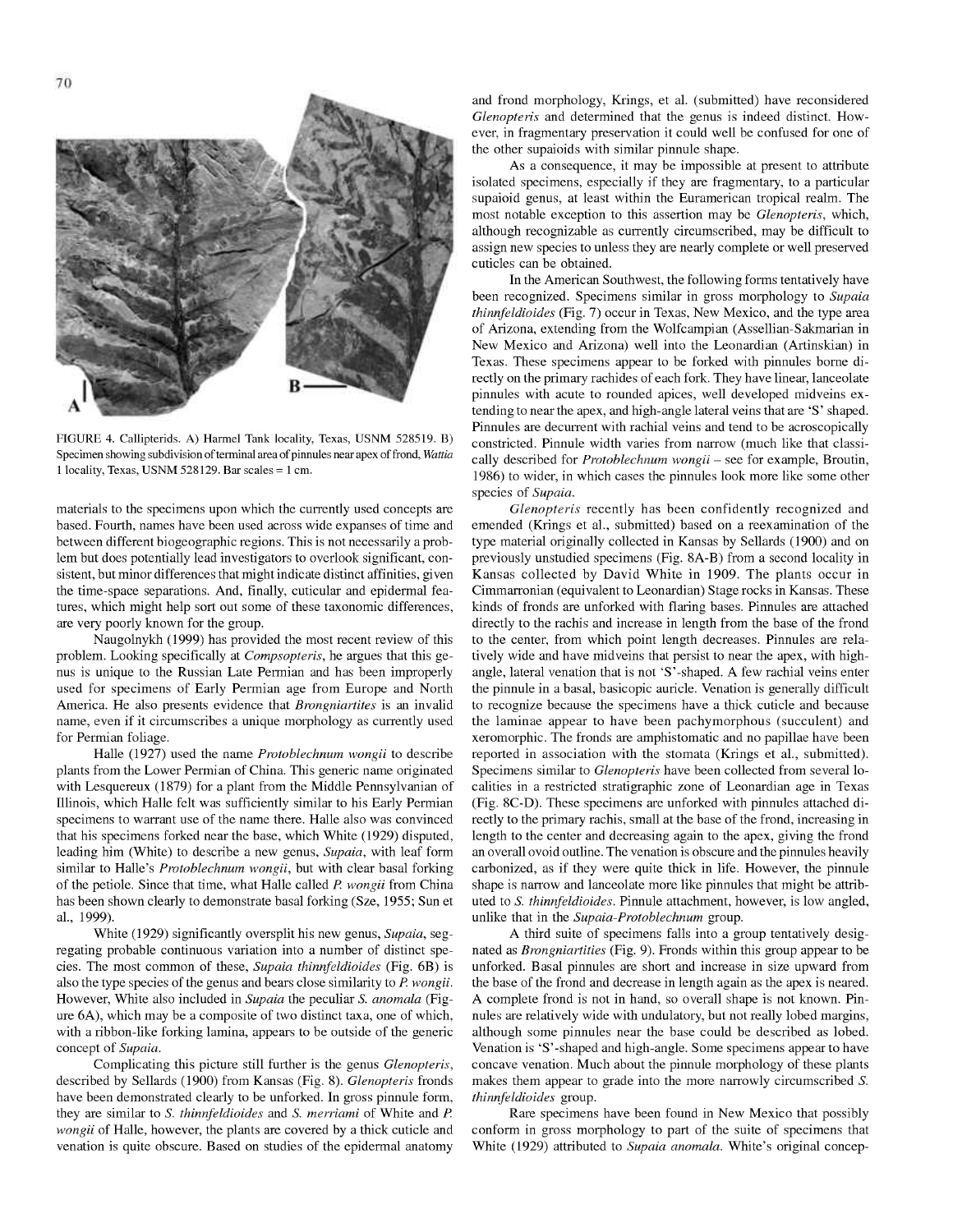

FIGURE 4. Callipterids. A) Harmel Tank locality, Texas, USNM 528519. B) Specimen showing subdivision of terminal area of pinnules near apex of frond, *Wattia* 1 locality, Texas, USNM 528129. Bar scales  $= 1$  cm.

materials to the specimens upon which the currently used concepts are based. Fourth, names have been used across wide expanses of time and between different biogeographic regions. This is not necessarily a problem but does potentially lead investigators to overlook significant, consistent, but minor differences that might indicate distinct affinities, given the time-space separations. And, finally, cuticular and epidermal features, which might help sort out some of these taxonomic differences, are very poorly known for the group.

Naugolnykh (1999) has provided the most recent review of this problem. Looking specifically at *Compsopteris,* he argues that this genus is unique to the Russian Late Permian and has been improperly used for specimens of Early Permian age from Europe and North America. He also presents evidence that *Brongniartites* is an invalid name, even if it circumscribes a unique morphology as currently used for Permian foliage.

Halle (1927) used the name *Protoblechnum wongii* to describe plants from the Lower Permian of China. This generic name originated with Lesquereux (1879) for a plant from the Middle Pennsylvanian of Illinois, which Halle felt was sufficiently similar to his Early Permian specimens to warrant use of the name there. Halle also was convinced that his specimens forked near the base, which White (1929) disputed, leading him (White) to describe a new genus, *Supaia,* with leaf form similar to Halle's *Protoblechnum wongii,* but with clear basal forking of the petiole. Since that time, what Halle called *P. wongii* from China has been shown clearly to demonstrate basal forking (Sze, 1955; Sun et al., 1999).

White (1929) significantly oversplit his new genus, *Supaia,* segregating probable continuous variation into a number of distinct species. The most common of these, *Supaia thinnfeldioides* (Fig. 6B) is also the type species of the genus and bears close similarity to *P. wongii.* However, White also included in *Supaia* the peculiar *S. anomala* (Figure 6A), which may be a composite of two distinct taxa, one of which, with a ribbon-like forking lamina, appears to be outside of the generic concept of *Supaia.*

Complicating this picture still further is the genus *Glenopteris,* described by Sellards (1900) from Kansas (Fig. 8). *Glenopteris* fronds have been demonstrated clearly to be unforked. In gross pinnule form, they are similar to *S. thinnfeldioides* and *S. merriami* of White and *P. wongii* of Halle, however, the plants are covered by a thick cuticle and venation is quite obscure. Based on studies of the epidermal anatomy and frond morphology, Krings, et al. (submitted) have reconsidered *Glenopteris* and determined that the genus is indeed distinct. However, in fragmentary preservation it could well be confused for one of the other supaioids with similar pinnule shape.

As a consequence, it may be impossible at present to attribute isolated specimens, especially if they are fragmentary, to a particular supaioid genus, at least within the Euramerican tropical realm. The most notable exception to this assertion may be *Glenopteris,* which, although recognizable as currently circumscribed, may be difficult to assign new species to unless they are nearly complete or well preserved cuticles can be obtained.

In the American Southwest, the following forms tentatively have been recognized. Specimens similar in gross morphology to *Supaia thinnfeldioides* (Fig. 7) occur in Texas, New Mexico, and the type area of Arizona, extending from the Wolfcampian (Assellian-Sakmarian in New Mexico and Arizona) well into the Leonardian (Artinskian) in Texas. These specimens appear to be forked with pinnules borne directly on the primary rachides of each fork. They have linear, lanceolate pinnules with acute to rounded apices, well developed midveins extending to near the apex, and high-angle lateral veins that are 'S' shaped. Pinnules are decurrent with rachial veins and tend to be acroscopically constricted. Pinnule width varies from narrow (much like that classically described for *Protoblechnum wongii -* see for example, Broutin, 1986) to wider, in which cases the pinnules look more like some other species of *Supaia.*

*Glenopteris* recently has been confidently recognized and emended (Krings et al., submitted) based on a reexamination of the type material originally collected in Kansas by Sellards (1900) and on previously unstudied specimens (Fig. 8A-B) from a second locality in Kansas collected by David White in 1909. The plants occur in Cimmarronian (equivalent to Leonardian) Stage rocks in Kansas. These kinds of fronds are unforked with flaring bases. Pinnules are attached directly to the rachis and increase in length from the base of the frond to the center, from which point length decreases. Pinnules are relatively wide and have midveins that persist to near the apex, with highangle, lateral venation that is not 'S'-shaped. A few rachial veins enter the pinnule in a basal, basicopic auricle. Venation is generally difficult to recognize because the specimens have a thick cuticle and because the laminae appear to have been pachymorphous (succulent) and xeromorphic. The fronds are amphistomatic and no papillae have been reported in association with the stomata (Krings et al., submitted). Specimens similar to *Glenopteris* have been collected from several localities in a restricted stratigraphic zone of Leonardian age in Texas (Fig. 8C-D). These specimens are unforked with pinnules attached directly to the primary rachis, small at the base of the frond, increasing in length to the center and decreasing again to the apex, giving the frond an overall ovoid outline. The venation is obscure and the pinnules heavily carbonized, as if they were quite thick in life. However, the pinnule shape is narrow and lanceolate more like pinnules that might be attributed to *S. thinnfeldioides.* Pinnule attachment, however, is low angled, unlike that in the *Supaia-Protoblechnum* group.

A third suite of specimens falls into a group tentatively designated as *Brongniartities* (Fig. 9). Fronds within this group appear to be unforked. Basal pinnules are short and increase in size upward from the base of the frond and decrease in length again as the apex is neared. A complete frond is not in hand, so overall shape is not known. Pinnules are relatively wide with undulatory, but not really lobed margins, although some pinnules near the base could be described as lobed. Venation is 'S'-shaped and high-angle. Some specimens appear to have concave venation. Much about the pinnule morphology of these plants makes them appear to grade into the more narrowly circumscribed *S. thinnfeldioides* group.

Rare specimens have been found in New Mexico that possibly conform in gross morphology to part of the suite of specimens that White (1929) attributed to *Supaia anomala.* White's original concep-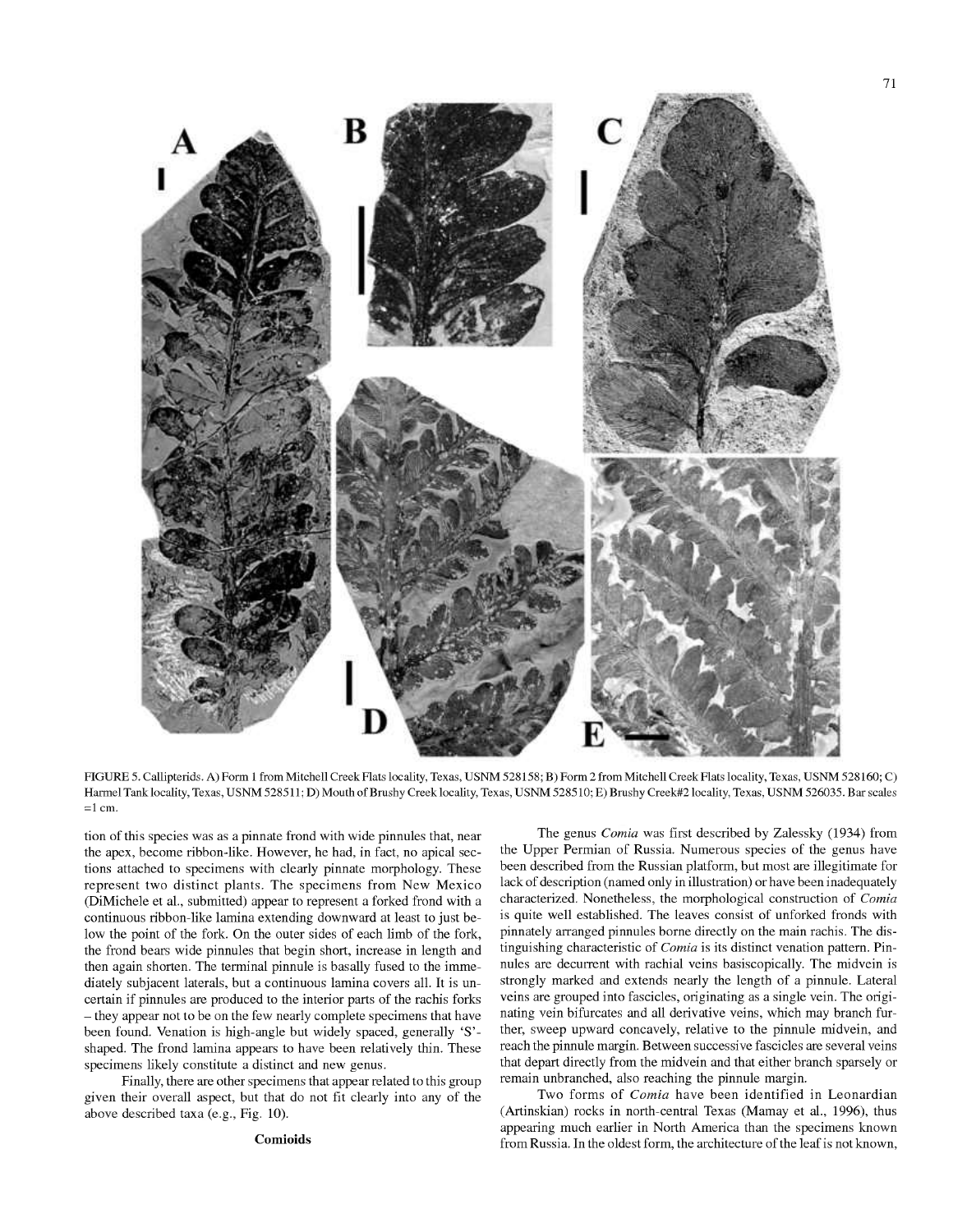

FIGURE 5. Callipterids. A) Form <sup>1</sup> from Mitchell Creek Flats locality, Texas, USNM 528158; B) Form 2 from Mitchell Creek Flats locality, Texas, USNM 528160; C) Harmel Tank locality, Texas, USNM 528511; D) Mouth of Brushy Creek locality, Texas, USNM 528510; E) Brushy Creek#2 locality, Texas, USNM 526035. Bar scales  $=1$  cm.

tion of this species was as a pinnate frond with wide pinnules that, near the apex, become ribbon-like. However, he had, in fact, no apical sections attached to specimens with clearly pinnate morphology. These represent two distinct plants. The specimens from New Mexico (DiMichele et al., submitted) appear to represent a forked frond with a continuous ribbon-like lamina extending downward at least to just below the point of the fork. On the outer sides of each limb of the fork, the frond bears wide pinnules that begin short, increase in length and then again shorten. The terminal pinnule is basally fused to the immediately subjacent laterals, but a continuous lamina covers all. It is uncertain if pinnules are produced to the interior parts of the rachis forks -they appear not to be on the few nearly complete specimens that have been found. Venation is high-angle but widely spaced, generally 'S' shaped. The frond lamina appears to have been relatively thin. These specimens likely constitute a distinct and new genus.

Finally, there are other specimens that appear related to this group given their overall aspect, but that do not fit clearly into any of the above described taxa (e.g.. Fig. 10).

### **Comiolds**

The genus *Comia* was first described by Zalessky (1934) from the Upper Permian of Russia. Numerous species of the genus have been described from the Russian platform, but most are illegitimate for lack of description (named only in illustration) or have been inadequately characterized. Nonetheless, the morphological construction of *Comia* is quite well established. The leaves consist of unforked fronds with pinnately arranged pinnules borne directly on the main rachis. The distinguishing characteristic of *Comia* is its distinct venation pattern. Pinnules are decurrent with rachial veins basiscopically. The midvein is strongly marked and extends nearly the length of a pinnule. Lateral veins are grouped into fascicles, originating as a single vein. The originating vein bifurcates and all derivative veins, which may branch further, sweep upward concavely, relative to the pinnule midvein, and reach the pinnule margin. Between successive fascicles are several veins that depart directly from the midvein and that either branch sparsely or remain unbranched, also reaching the pinnule margin.

Two forms of *Comia* have been identified in Leonardian (Artinskian) rocks in north-central Texas (Mamay et al., 1996), thus appearing much earlier in North America than the specimens known from Russia. In the oldest form, the architecture of the leaf is not known,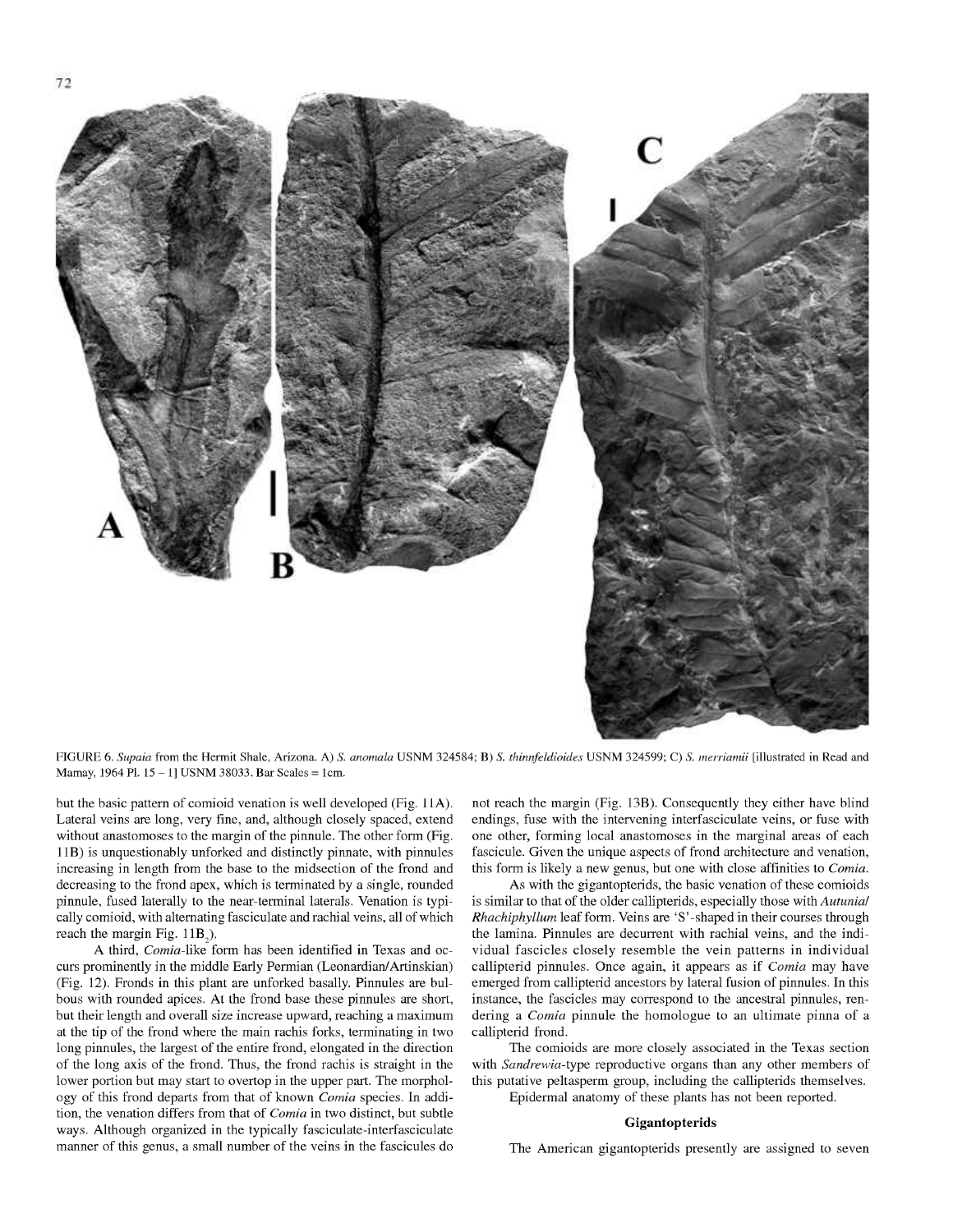

FIGURE 6. *Supaia* from the Hermit Shale, Arizona. A) *S. anomala* USNM 324584; B) 5. *thinnfeldioides* USNM 324599; C) *S. merriamii* [illustrated in Read and Mamay, <sup>1964</sup> PI. <sup>15</sup> - 1] USNM 38033. Bar Scales <sup>=</sup> 1cm.

but the basic pattern of comioid venation is well developed (Fig. 11A). Lateral veins are long, very fine, and, although closely spaced, extend without anastomoses to the margin of the pinnule. The other form (Fig. IIB) is unquestionably unforked and distinctly pinnate, with pinnules increasing in length from the base to the midsection of the frond and decreasing to the frond apex, which is terminated by a single, rounded pinnule, fused laterally to the near-terminal laterals. Venation is typically comioid, with alternating fasciculate and rachial veins, all of which reach the margin Fig. IIB,).

A third, *Comia-like* form has been identified in Texas and occurs prominently **in the middle Early** Permian (Leonardian/Artinskian) (Fig. 12). Fronds in this plant are unforked basally. Pinnules are bulbous with rounded apices. At the frond base these pinnules are short, but their length and overall size increase upward, reaching a maximum at the tip of the frond where the main rachis forks, terminating in two long pinnules, the largest of the entire frond, elongated in the direction of the long axis of the frond. Thus, the frond rachis is straight in the lower portion but may start to overtop in the upper part. The morphology of this frond departs from that of known *Comia* species. In addition, the venation differs from that of *Comia* in two distinct, but subtle ways. Although organized in the typically fasciculate-interfasciculate manner of this genus, a small number of the veins in the fascicules do not reach the margin (Fig. 13B). Consequently they either have blind endings, fuse with the intervening interfasciculate veins, or fuse with one other, forming local anastomoses in the marginal areas of each fascicule. Given the unique aspects of frond architecture and venation, this form is likely a new genus, but one with close affinities to *Comia.*

As with the gigantopterids, the basic venation of these comioids is similar to that of the older callipterids, especially those with *Autunial Rhachiphyllum* leaf form. Veins are 'S'-shaped in their courses through the lamina. Pinnules are decurrent with rachial veins, and the individual fascicles closely resemble the vein patterns in individual callipterid pinnules. Once again, it appears as if *Comia* may have emerged from callipterid ancestors by lateral fusion of pinnules. In this instance, the fascicles may correspond to the ancestral pinnules, rendering a *Comia* pinnule the homologue to an ultimate pinna of a callipterid frond.

The comioids are more closely associated in the Texas section with *Sandrewia-type* reproductive organs than any other members of this putative peltasperm group, including the callipterids themselves. Epidermal anatomy of these plants has not been reported.

#### **Gigantopterids**

The American gigantopterids presently are assigned to seven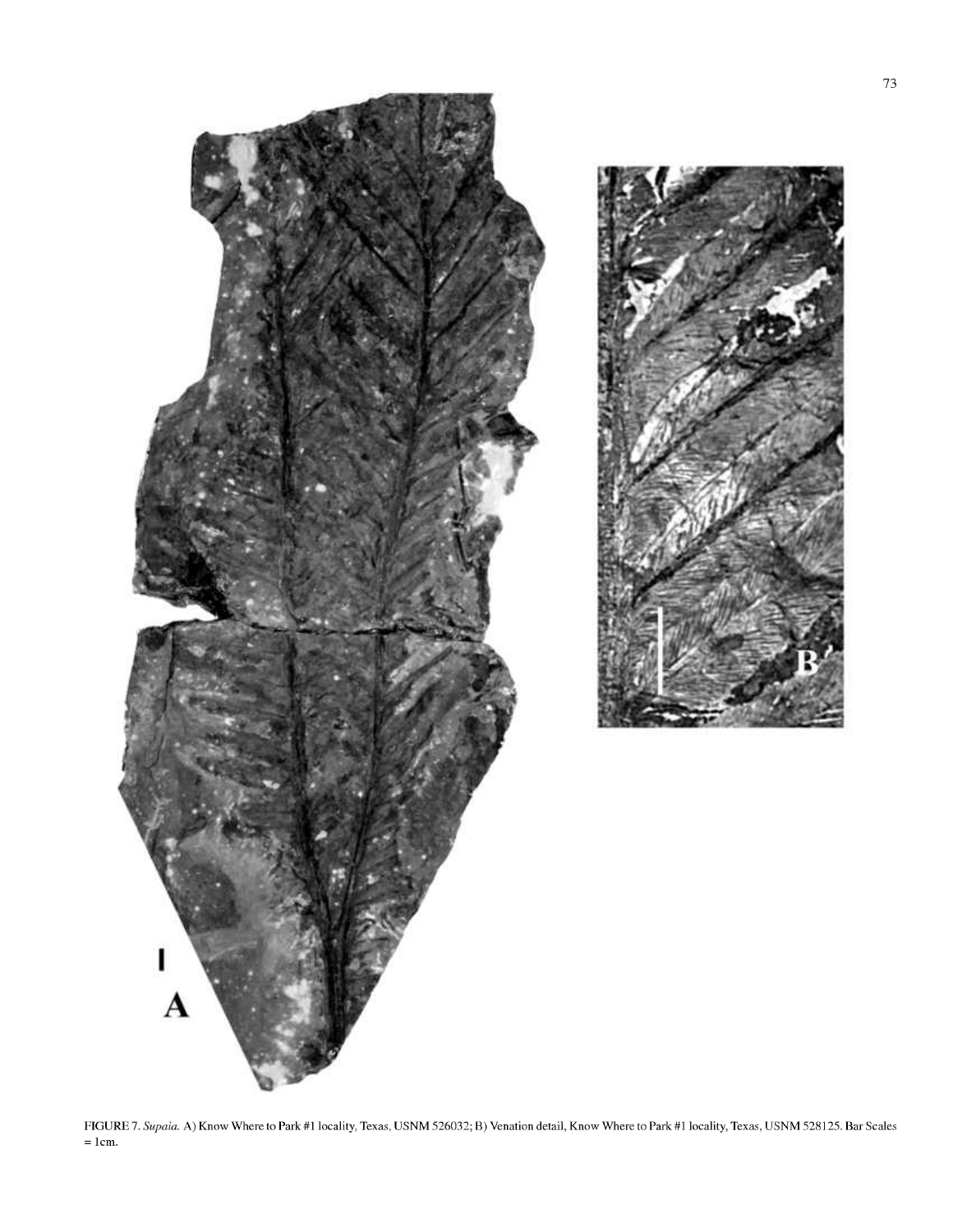

FIGURE 7. *Supaia.* A) Know Where to Park #1 locality, Texas, USNM 526032; B) Venation detail. Know Where to Park #1 locality, Texas, USNM 528125. Bar Scales = 1cm.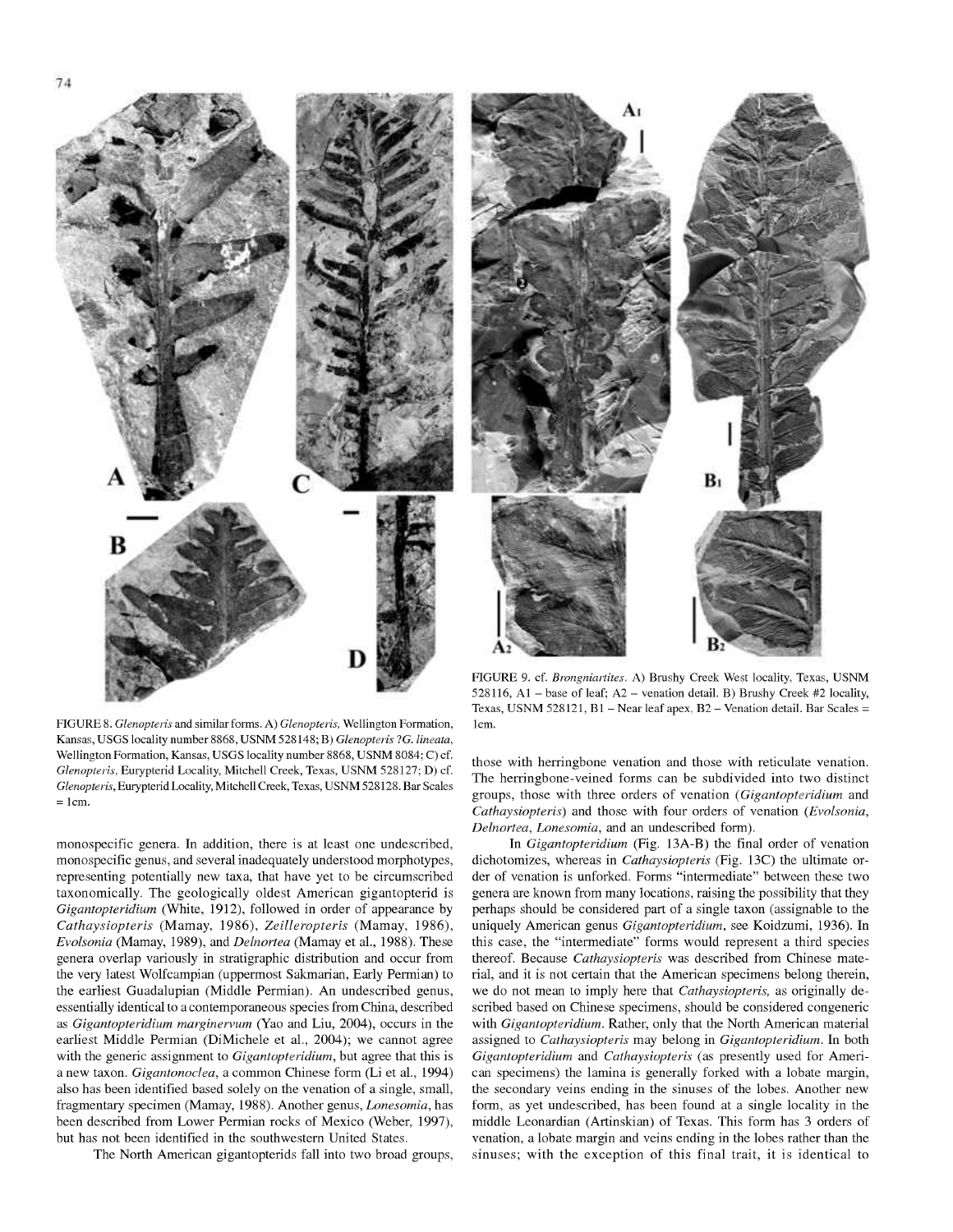B D

FIGURE 8. *Glenopteiis* and similar forms. A) *Glenopteiis,* Wellington Formation, Kansas, USGS locality number 8868, USNM 528148; B) *Glenopteiis* ?G. *lineata,* Wellington Formation, Kansas, USGS locality number 8868, USNM 8084; C) cf. *Glenopteiis,* Eurypterid Locality, Mitchell Creek, Texas, USNM 528127; D) cf. *Glenopteiis,* Eurypterid Locality, Mitchell Creek, Texas, USNM 528128. Bar Scales  $= 1cm$ .

monospecific genera. In addition, there is at least one undescribed, monospecific genus, and several inadequately understood morphotypes, representing potentially new taxa, that have yet to be circumscribed taxonomically. The geologically oldest American gigantopterid is *Gigantopteridium* (White, 1912), followed in order of appearance by *Cathaysiopteris* (Mamay, 1986), *Zeilleropteris* (Mamay, 1986), *Evolsonia* (Mamay, 1989), and *Delnortea* (Mamay et al., 1988). These genera overlap variously in stratigraphic distribution and occur from the very latest Wolfcampian (uppermost Sakmarian, Early Permian) to the earliest Guadalupian (Middle Permian). An undescribed genus, essentially identical to a contemporaneous species from China, described as *Gigantopteridium marginervum* (Yao and Liu, 2004), occurs in the earliest Middle Permian (DiMichele et al., 2004); we cannot agree with the generic assignment to *Gigantopteridium,* but agree that this is a new taxon. *Gigantonoclea,* a common Chinese form (Li et al., 1994) also has been identified based solely on the venation of a single, small, fragmentary specimen (Mamay, 1988). Another genus, *Lonesomia,* has been described from Lower Permian rocks of Mexico (Weber, 1997), but has not been identified in the southwestern United States.

The North American gigantopterids fall into two broad groups.



FIGURE 9. cf. *Biongniartites.* A) Brushy Creek West locality, Texas, USNM 528116, Al - base of leaf; A2 - venation detail. B) Brushy Creek #2 locality, Texas, USNM 528121, B1 - Near leaf apex, B2 - Venation detail. Bar Scales = 1cm.

those with herringbone venation and those with reticulate venation. The herringbone-veined forms can be subdivided into two distinct groups, those with three orders of venation *(Gigantopteridium* and *Cathaysiopteris)* and those with four orders of venation *(Evolsonia, Delnortea, Lonesomia,* and an undescribed form).

In *Gigantopteridium* (Fig. 13A-B) the final order of venation dichotomizes, whereas in *Cathaysiopteris* (Fig. 13C) the ultimate order of venation is unforked. Forms "intermediate" between these two genera are known from many locations, raising the possibility that they perhaps should be considered part of a single taxon (assignable to the uniquely American genus *Gigantopteridium,* see Koidzumi, 1936). In this case, the "intermediate" forms would represent a third species thereof. Because *Cathaysiopteris* was described from Chinese material, and it is not certain that the American specimens belong therein, we do not mean to imply here that *Cathaysiopteris,* as originally described based on Chinese specimens, should be considered congeneric with *Gigantopteridium.* Rather, only that the North American material assigned to *Cathaysiopteris* may belong in *Gigantopteridium.* In both *Gigantopteridium* and *Cathaysiopteris* (as presently used for American specimens) the lamina is generally forked with a lobate margin, the secondary veins ending in the sinuses of the lobes. Another new form, as yet undescribed, has been found at a single locality in the middle Leonardian (Artinskian) of Texas. This form has 3 orders of venation, a lobate margin and veins ending in the lobes rather than the sinuses; with the exception of this final trait, it is identical to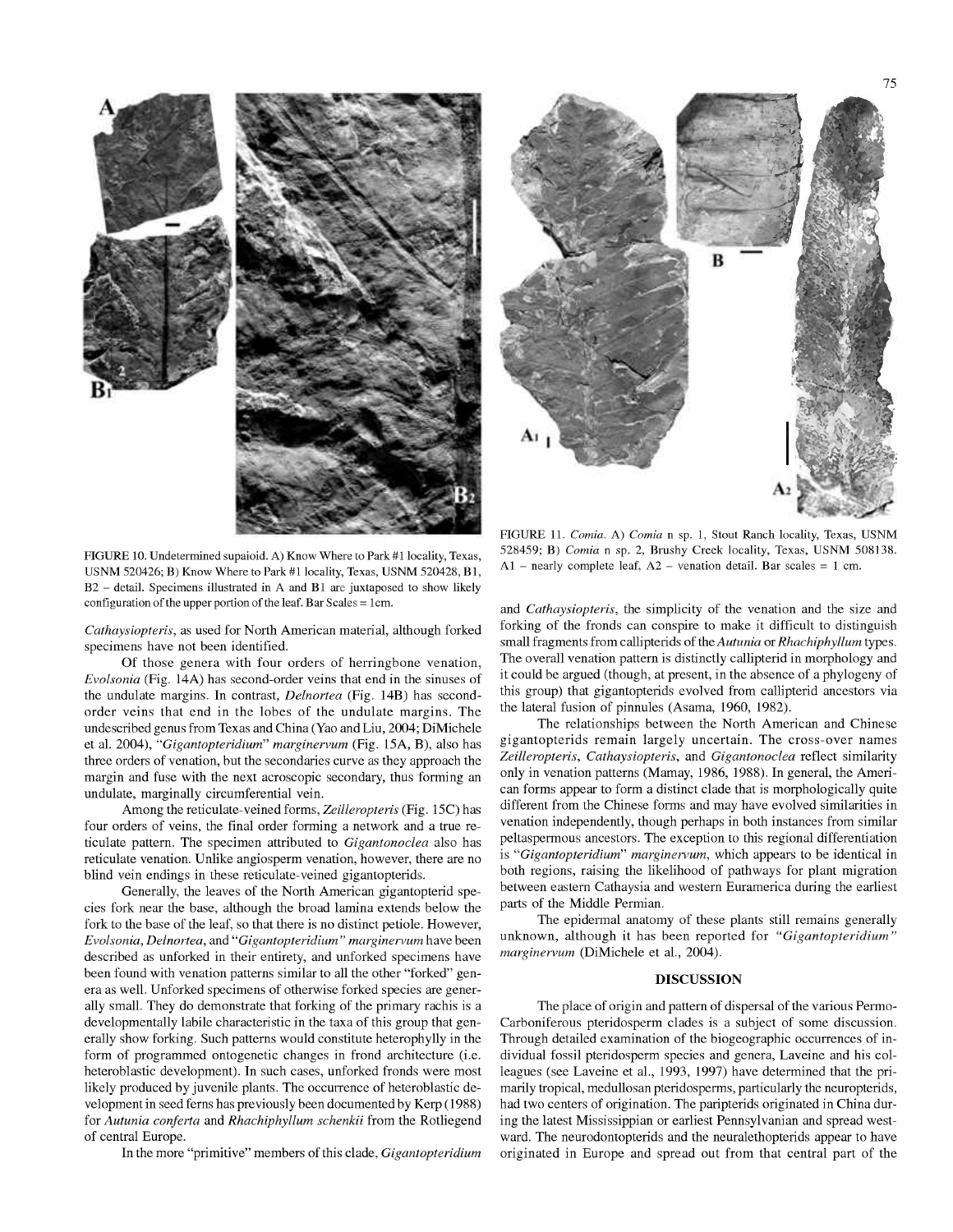





FIGURE 10. Undetermined supaioid. A) Know Where to Park #1 locality, Texas, USNM 520426; B) Know Where to Park #1 locality, Texas, USNM 520428, Bl, B2 - detail. Specimens illustrated in <sup>A</sup> and B1 are juxtaposed to show likely configuration of the upper portion of the leaf. Bar Scales = 1cm.

*Cathaysiopteris,* as used for North American material, although forked specimens have not been identified.

Of those genera with four orders of herringbone venation, *Evolsonia* (Fig. 14A) has second-order veins that end in the sinuses of the undulate margins. In contrast, *Delnortea* (Fig. 14B) has secondorder veins that end in the lobes of the undulate margins. The undescribed genus from Texas and China (Yao and Liu, 2004; DiMichele et al. 2004), *"Gigantopteridium" marginervum* (Fig. 15A, B), also has three orders of venation, but the secondaries curve as they approach the margin and fuse with the next acroscopic secondary, thus forming an undulate, marginally circumferential vein.

Among the reticulate-veined forms, *Zeilleropteris* (Fig. 15C) has four orders of veins, the final order forming a network and a true reticulate pattern. The specimen attributed to *Gigantonoclea* also has reticulate venation. Unlike angiosperm venation, however, there are no blind vein endings in these reticulate-veined gigantopterids.

Generally, the leaves of the North American gigantopterid species fork near the base, although the broad lamina extends below the fork to the base of the leaf, so that there is no distinct petiole. However, *Evolsonia, Delnortea,* and *"Gigantopteridium" marginervum* have been described as unforked in their entirety, and unforked specimens have been found with venation patterns similar to all the other "forked" genera as well. Unforked specimens of otherwise forked species are generally small. They do demonstrate that forking of the primary rachis is a developmentally labile characteristic in the taxa of this group that generally show forking. Such patterns would constitute heterophylly in the form of programmed ontogenetic changes in frond architecture (i.e. heteroblastic development). In such cases, unforked fronds were most likely produced by juvenile plants. The occurrence of heteroblastic development in seed ferns has previously been documented by Kerp (1988) for *Autunia conferta* and *Rhachiphyllum schenkii* from the Rotliegend of central Europe.

In the more "primitive" members ofthis clade, *Gigantopteridium*

FIGURE 11. *Comia.* A) *Comia* n sp. 1, Stout Ranch locality, Texas, USNM 528459; B) *Comia* n sp. 2, Brushy Creek locality, Texas, USNM 508138. Al - nearly complete leaf,  $A2$  - venation detail. Bar scales = 1 cm.

and *Cathaysiopteris,* the simplicity of the venation and the size and forking of the fronds can conspire to make it difficult to distinguish small fragments from callipterids of the *Autunia* or *Rhachiphyllum* types. The overall venation pattern is distinctly callipterid in morphology and it could be argued (though, at present, in the absence of a phylogeny of this group) that gigantopterids evolved from callipterid ancestors via the lateral fusion of pinnules (Asama, 1960, 1982).

The relationships between the North American and Chinese gigantopterids remain largely uncertain. The cross-over names *Zeilleropteris, Cathaysiopteris,* and *Gigantonoclea* reflect similarity only in venation patterns (Mamay, 1986, 1988). In general, the American forms appear to form a distinct clade that is morphologically quite different from the Chinese forms and may have evolved similarities in venation independently, though perhaps in both instances from similar peltaspermous ancestors. The exception to this regional differentiation is *"Gigantopteridium" marginervum,* which appears to be identical in both regions, raising the likelihood of pathways for plant migration between eastern Cathaysia and western Euramerica during the earliest parts of the Middle Permian.

The epidermal anatomy of these plants still remains generally unknown, although it has been reported for *"Gigantopteridium" marginervum* (DiMichele et al., 2004).

#### **DISCUSSION**

The place of origin and pattern of dispersal of the various Permo-Carboniferous pteridosperm clades is a subject of some discussion. Through detailed examination of the biogeographic occurrences of individual fossil pteridosperm species and genera, Laveine and his colleagues (see Laveine et al., 1993, 1997) have determined that the primarily tropical, medullosan pteridosperms, particularly the neuropterids, had two centers of origination. The paripterids originated in China during the latest Mississippian or earliest Pennsylvanian and spread westward. The neurodontopterids and the neuralethopterids appear to have originated in Europe and spread out from that central part of the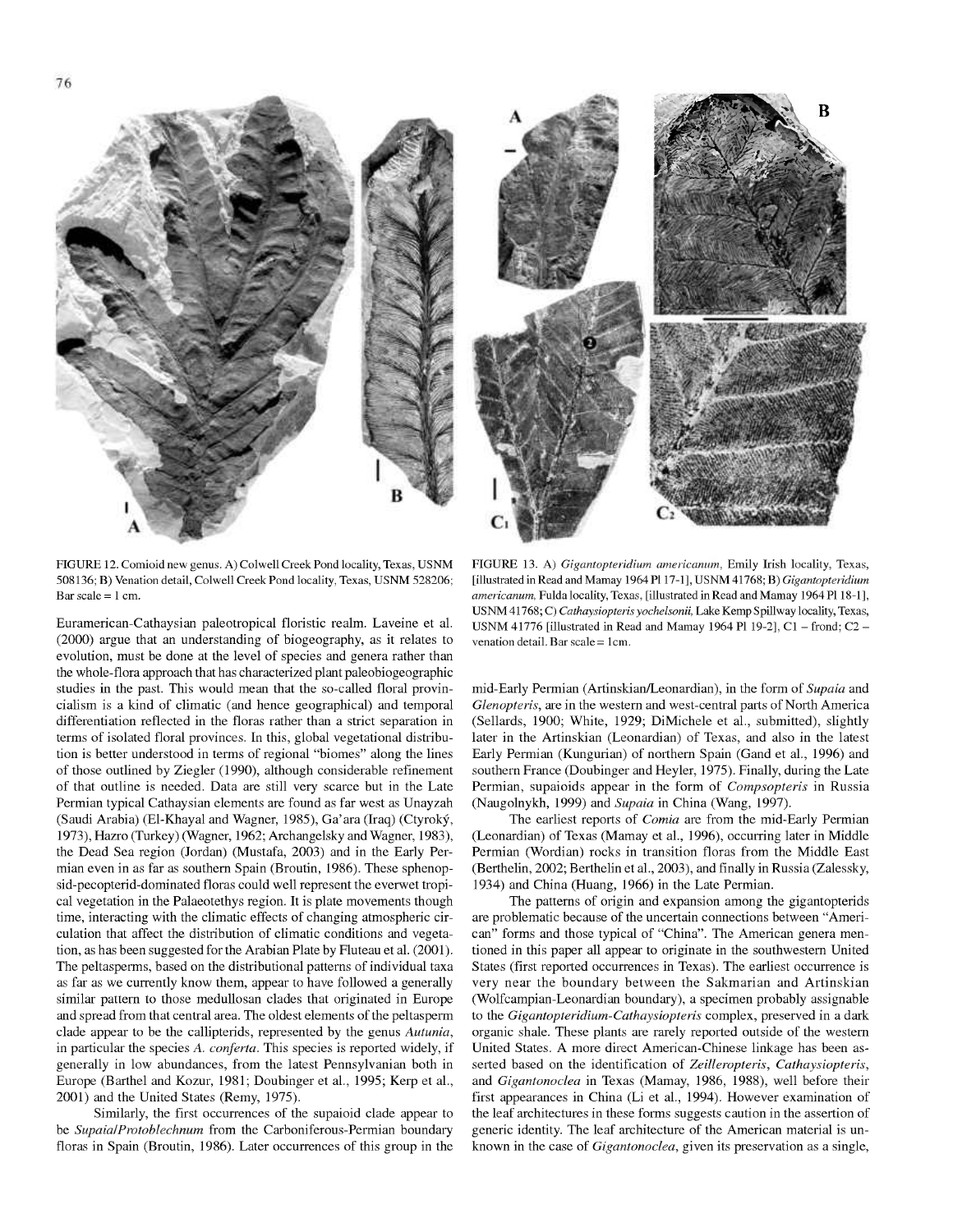508136; B) Venation detail, Colwell Creek Pond locality, Texas, USNM 528206; Bar scale  $= 1$  cm.

Euramerican-Cathaysian paleotropical floristic realm. Laveine et al. (2000) argue that an understanding of biogeography, as it relates to evolution, must be done at the level of species and genera rather than the whole-flora approach that has characterized plant paleobiogeographic studies in the past. This would mean that the so-called floral provincialism is a kind of climatic (and hence geographical) and temporal differentiation reflected in the floras rather than a strict separation in terms of isolated floral provinces. In this, global vegetational distribution is better understood in terms of regional "biomes" along the lines of those outlined by Ziegler (1990), although considerable refinement of that outline is needed. Data are still very scarce but in the Late Permian typical Cathaysian elements are found as far west as Unayzah (Saudi Arabia) (El-Khayal and Wagner, 1985), Ga'ara (Iraq) (Ctyroky, 1973), Hazro (Turkey) (Wagner, 1962; Archangelsky and Wagner, 1983), the Dead Sea region (Jordan) (Mustafa, 2003) and in the Early Permian even in as far as southern Spain (Broutin, 1986). These sphenopsid-pecopterid-dominated floras could well represent the everwet tropical vegetation in the Palaeotethys region. It is plate movements though time, interacting with the climatic effects of changing atmospheric circulation that affect the distribution of climatic conditions and vegetation, as has been suggested for the Arabian Plate by Fluteau et al. (2001). The peltasperms, based on the distributional patterns of individual taxa as far as we currently know them, appear to have followed a generally similar pattern to those medullosan clades that originated in Europe and spread from that central area. The oldest elements of the peltasperm clade appear to be the callipterids, represented by the genus *Autunia,* in particular the species *A. conferta.* This species is reported widely, if generally in low abundances, from the latest Pennsylvanian both in Europe (Barthel and Kozur, 1981; Doubinger et al., 1995; Kerp et al., 2001) and the United States (Remy, 1975).

Similarly, the first occurrences of the supaioid clade appear to be *SupaialProtoblechnum* from the Carboniferous-Permian boundary floras in Spain (Broutin, 1986). Later occurrences of this group in the

USNM 41776 [illustrated in Read and Mamay 1964 Pl 19-2], C1 - frond; C2 venation detail. Bar scale = 1cm. mid-Early Permian (Artinskian/Leonardian), in the form of *Supaia* and *Glenopteris,* are in the western and west-central parts of North America

FIGURE 13. A) *Gigantopteiidium americanum,* Emily Irish locality, Texas, [illustrated in Read and Mamay 1964 Pl 17-1], USNM 41768; B) Gigantopteridium *americanum,* Fulda locality, Texas, [illustrated in Read and Mamay 1964 PI 18-1], USNM 41768; C) *Cathaysiopterisyochelsonii,* Lake Kemp Spillway locality, Texas,

(Sellards, 1900; White, 1929; DiMichele et al., submitted), slightly later in the Artinskian (Leonardian) of Texas, and also in the latest Early Permian (Kungurian) of northern Spain (Gand et al., 1996) and southern France (Doubinger and Heyler, 1975). Finally, during the Late Permian, supaioids appear in the form of *Compsopteris* in Russia (Naugolnykh, 1999) and *Supaia* in China (Wang, 1997).

The earliest reports of *Comia* are from the mid-Early Permian (Leonardian) of Texas (Mamay et al., 1996), occurring later in Middle Permian (Wordian) rocks in transition floras from the Middle East (Berthelin, 2002; Berthelin et al., 2003), and finally in Russia (Zalessky, 1934) and China (Huang, 1966) in the Late Permian.

The patterns of origin and expansion among the gigantopterids are problematic because of the uncertain connections between "American" forms and those typical of "China". The American genera mentioned in this paper all appear to originate in the southwestern United States (first reported occurrences in Texas). The earliest occurrence is very near the boundary between the Sakmarian and Artinskian (Wolfcampian-Leonardian boundary), a specimen probably assignable to the *Gigantopteridium-Cathaysiopteris* complex, preserved in a dark organic shale. These plants are rarely reported outside of the western United States. A more direct American-Chinese linkage has been asserted based on the identification of *Zeilleropteris, Cathaysiopteris,* and *Gigantonoclea* in Texas (Mamay, 1986, 1988), well before their first appearances in China (Li et al., 1994). However examination of the leaf architectures in these forms suggests caution in the assertion of generic identity. The leaf architecture of the American material is unknown in the case of *Gigantonoclea,* given its preservation as a single.

FIGURE 12. Comioid new genus. A) Colwell Creek Pond locality, Texas, USNM

в

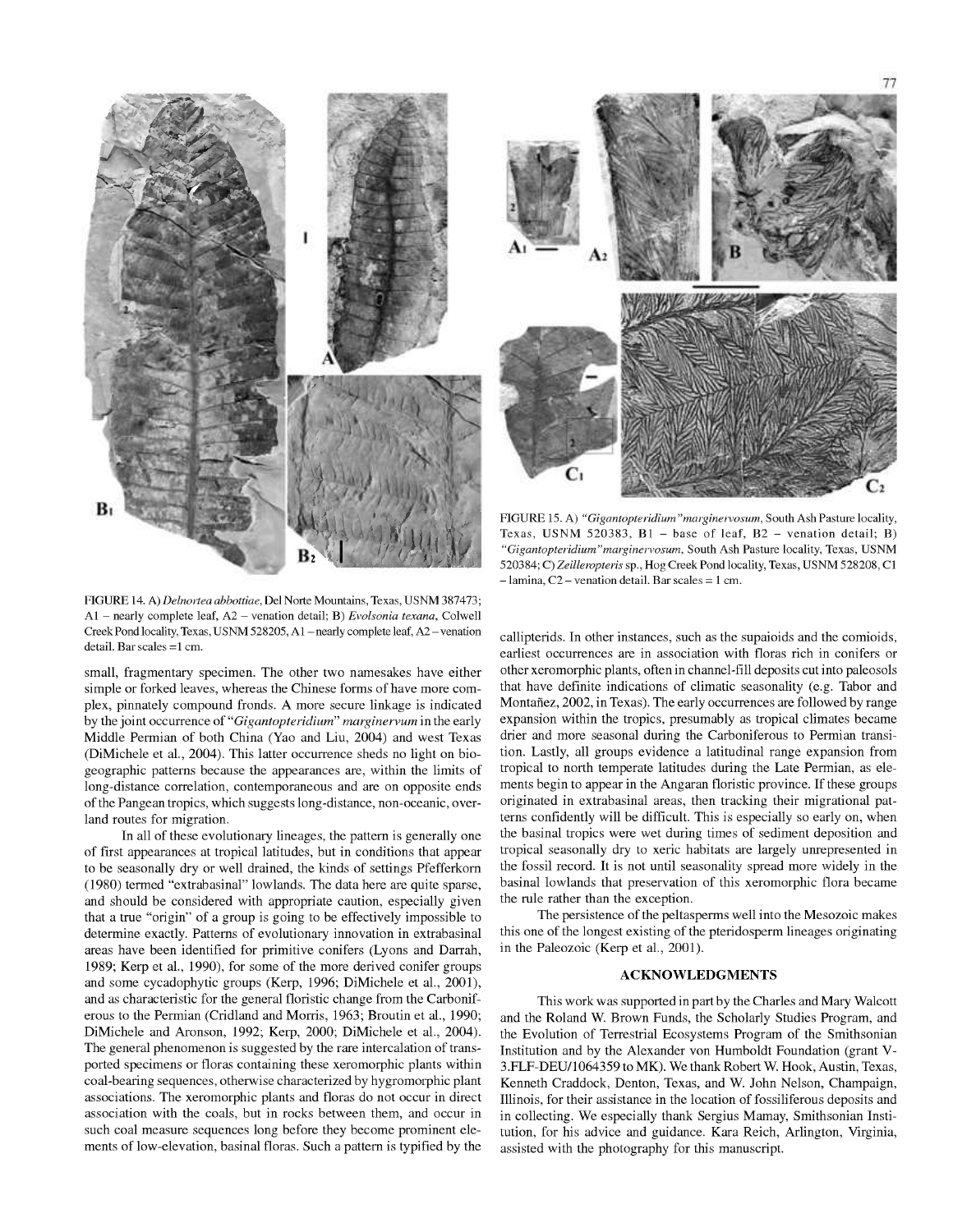



FIGURE 15. A) *"Gigantopteridium"marginervosum,* South Ash Pasture locality, Texas, USNM 520383,  $B1 - base$  of leaf,  $B2 - venation detail$ ; B) *"Gigantopteridium"marginervosum,* South Ash Pasture locality, Texas, USNM 520384; C) Zeilleropteris sp., Hog Creek Pond locality, Texas, USNM 528208, C1  $-$ lamina, C2 – venation detail. Bar scales = 1 cm.

FIGURE 14. A) *Delnortea abbottiae,* Del Norte Mountains, Texas, USNM 387473; Al - nearly complete leaf, A2 - venation detail; B) *Evolsonia texana,* Colwell Creek Pond locality, Texas, USNM 528205, A1 - nearly complete leaf, A2 - venation detail. Bar scales =1 cm.

small, fragmentary specimen. The other two namesakes have either simple or forked leaves, whereas the Chinese forms of have more complex, pinnately compound fronds. A more secure linkage is indicated by the joint occurrence of *"Gigantopteridium" marginervum* in the early Middle Permian of both China (Yao and Liu, 2004) and west Texas (DiMichele et al., 2004). This latter occurrence sheds no light on biogeographic patterns because the appearances are, within the limits of long-distance correlation, contemporaneous and are on opposite ends of the Pangean tropics, which suggests long-distance, non-oceanic, overland routes for migration.

In all of these evolutionary lineages, the pattern is generally one of first appearances at tropical latitudes, but in conditions that appear to be seasonally dry or well drained, the kinds of settings Pfefferkorn (1980) termed "extrabasinal" lowlands. The data here are quite sparse, and should be considered with appropriate caution, especially given that a true "origin" of a group is going to be effectively impossible to determine exactly. Patterns of evolutionary innovation in extrabasinal areas have been identified for primitive conifers (Lyons and Darrah, 1989; Kerp et al., 1990), for some of the more derived conifer groups and some cycadophytic groups (Kerp, 1996; DiMichele et al., 2001), and as characteristic for the general floristic change from the Carboniferous to the Permian (Cridland and Morris, 1963; Broutin et al., 1990; DiMichele and Aronson, 1992; Kerp, 2000; DiMichele et al., 2004). The general phenomenon is suggested by the rare intercalation of transported specimens or floras containing these xeromorphic plants within coal-bearing sequences, otherwise characterized by hygromorphic plant associations. The xeromorphic plants and floras do not occur in direct association with the coals, but in rocks between them, and occur in such coal measure sequences long before they become prominent elements of low-elevation, basinal floras. Such a pattern is typified by the

callipterids. In other instances, such as the supaioids and the comioids, earliest occurrences are in association with floras rich in conifers or other xeromorphic plants, often in channel-fill deposits cut into paleosols that have definite indications of climatic seasonality (e.g. Tabor and Montañez, 2002, in Texas). The early occurrences are followed by range expansion within the tropics, presumably as tropical climates became drier and more seasonal during the Carboniferous to Permian transition. Lastly, all groups evidence a latitudinal range expansion from tropical to north temperate latitudes during the Late Permian, as elements begin to appear in the Angaran floristic province. If these groups originated in extrabasinal areas, then tracking their migrational patterns confidently will be difficult. This is especially so early on, when the basinal tropics were wet during times of sediment deposition and tropical seasonally dry to xeric habitats are largely unrepresented in the fossil record. It is not until seasonality spread more widely in the basinal lowlands that preservation of this xeromorphic flora became the rule rather than the exception.

The persistence of the peltasperms well into the Mesozoic makes this one of the longest existing of the pteridosperm lineages originating in the Paleozoic (Kerp et al., 2001).

## **ACKNOWLEDGMENTS**

This work was supported in part by the Charles and Mary Walcott and the Roland W. Brown Funds, the Scholarly Studies Program, and the Evolution of Terrestrial Ecosystems Program of the Smithsonian Institution and by the Alexander von Humboldt Foundation (grant V-3.FLF-DEU/1064359 to MK). We thank Robert W. Hook, Austin, Texas, Kenneth Craddock, Denton, Texas, and W. John Nelson, Champaign, Illinois, for their assistance in the location of fossiliferous deposits and in collecting. We especially thank Sergius Mamay, Smithsonian Institution, for his advice and guidance. Kara Reich, Arlington, Virginia, assisted with the photography for this manuscript.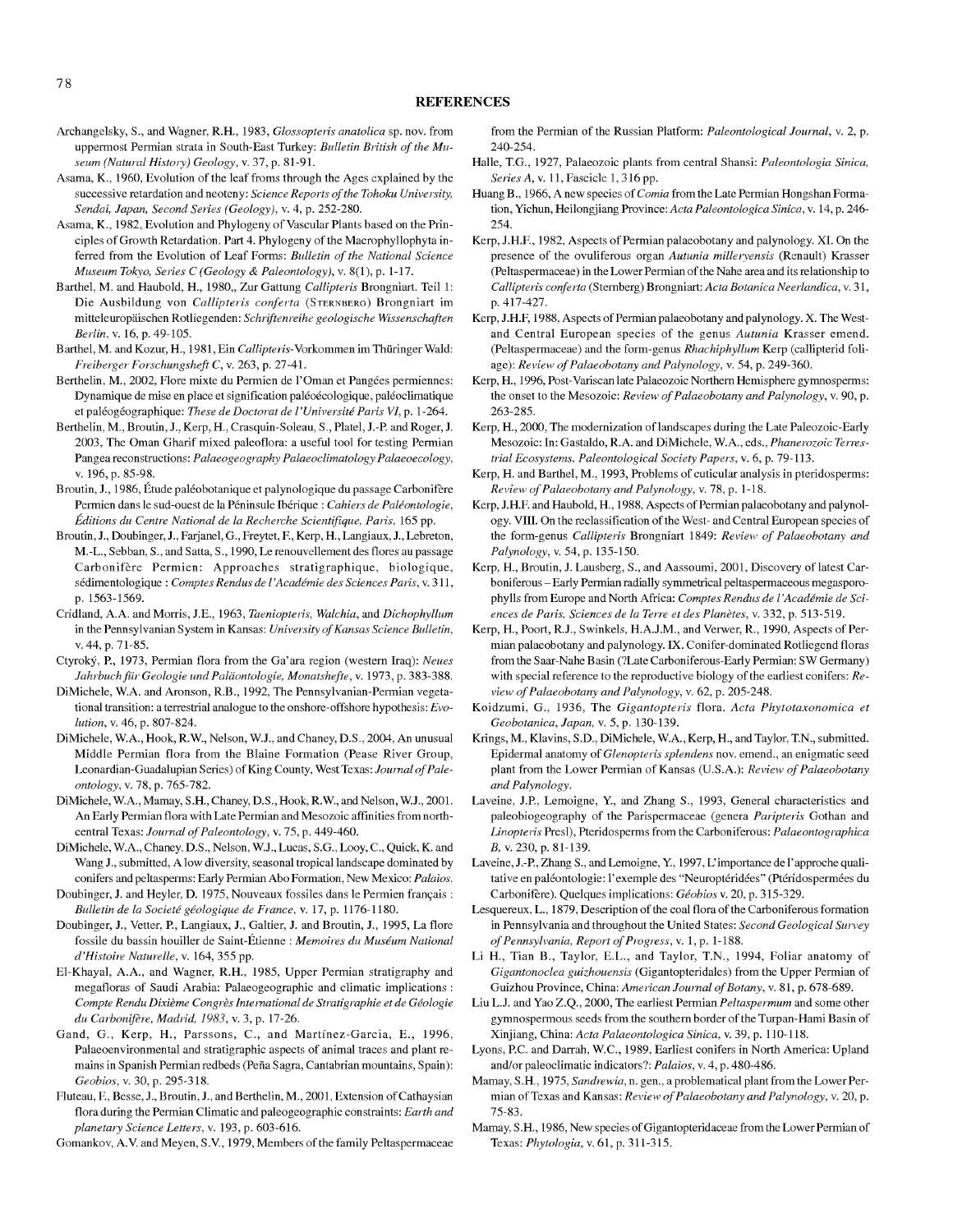- Archangelsky, S., and Wagner, R.H., 1983, *Glossopteiis anatolica* sp. nov. from uppermost Permian strata in South-East Turkey: *Bulletin British of the Museum {Natural History) Geology,* v. 37, p. 81-91.
- Asama, K., 1960, Evolution of the leaf froms through the Ages explained by the successive retardation and neoteny: *Science Reports ofthe Tohoku University, Sendai, Japan, Second Series (Geology),* v. 4, p. 252-280.
- Asama, K., 1982, Evolution and Phylogeny of Vascular Plants based on the Principles of Growth Retardation. Part 4. Phylogeny of the Macrophyllophyta inferred from the Evolution of Leaf Forms: *Bulletin of the National Science Museum Tokyo, Series C (Geology & Paleontology),* v. 8(1), p. 1-17.
- Barthel, M. and Haubold, H., 1980,, Zur Gattung *Callipteris* Brongniart. Teil 1: Die Ausbildung von *Callipteris conferta* (STERNBERG) Brongniart im mitteleuropaischen Rotliegenden: *Schriftenreihe geologische Wissenschaften Berlin,* v. 16, p. 49-105.
- Barthel, M. and Kozur, H., 1981, Ein Callipteris-Vorkommen im Thüringer Wald: *Freiherger Forschungsheft C,* v. 263, p. 27-41.
- Berthelin, M., 2002, Flore mixte du Permien de l'Oman et Pangées permiennes: Dynamique de mise en place et signification paléoécologique, paléoclimatique et paleogeographique: *These de Doctorat de VUniversite Paris VI,* p. 1-264.
- Berthelin, M., Broutin, J., Kerp, H., Crasquin-Soleau, S., Platel, J.-P and Roger, J. 2003, The Oman Gharif mixed paleoflora: a useful tool for testing Permian Pangea reconstructions: *Palaeogeography Palaeoclimatology Palaeoecology,* V. 196, p. 85-98.
- Broutin, J., 1986, Etude paleobotanique et palynologique du passage Carbonifere Permien dans le sud-ouest de la Peninsule Iberique : *Cahiers de Paleontologie, Editions du Centre National de la Recherche Scientifique, Paris,* 165 pp.
- Broutin, J., Doubinger, J., Farjanel, G., Freytet, E, Kerp, H., Langiaux, J., Lebreton, M.-L., Sebban, S., and Satta, S., 1990, Le renouvellement des flores au passage Carbonifere Permien: Approaches stratigraphique, biologique, sedimentologique : *Comptes Rendus de I 'Academic des Sciences Paris,* v. 311, p. 1563-1569.
- Cridland, A.A. and Morris, J.E., 1963, *Taeniopteiis, Walchia,* and *Dichophyllum* in the Pennsylvanian System in Kansas: *University of Kansas Science Bulletin*, V. 44, p. 71-85.
- Ctyroky, P., 1973, Permian flora from the Ga'ara region (western Iraq): *Neues JahrhuchfUr Geologic und Paldontologie, Monatshefte,* v. 1973, p. 383-388.
- DiMichele, W.A. and Aronson, R.B., 1992, The Pennsylvanian-Permian vegetational transition: a terrestrial analogue to the onshore-offshore hypothesis: *Evolution,* V. 46, p. 807-824.
- DiMichele, W.A., Hook, R.W., Nelson, W.J., and Chaney, D.S., 2004, An unusual Middle Permian flora from the Blaine Formation (Pease River Group, Leonardian-Guadalupian Series) of King County, West Texas: *Jouinal ofPaleontology,* V. 78, p. 765-782.
- DiMichele, W.A., Mamay, S.H., Chaney, D.S., Hook, R.W., and Nelson, W.J., 2001. An Early Permian flora with Late Permian and Mesozoic affinities from northcentral Texas: *Journal of Paleontology*, v. 75, p. 449-460.
- DiMichele, W.A., Chaney, D.S., Nelson, W.J., Lucas, S.G., Looy, C, Quick, K. and Wang J., submitted, A low diversity, seasonal tropical landscape dominated by conifers and peltasperms: Early Permian Abo Formation, New Mexico: *Palaios.*
- Doubinger, J. and Heyler, D. 1975, Nouveaux fossiles dans le Permien français : *Bulletin de la Societe geologique de France,* v. 17, p. 1176-1180.
- Doubinger, J., Vetter, P., Langiaux, J., Galtier, J. and Broutin, J., 1995, La flore fossile du bassin houiller de Saint-Etienne : *Memoires du Museum National d'Histoiie Naturelle,* v. 164, 355 pp.
- El-Khayal, A.A., and Wagner, R.H., 1985, Upper Permian stratigraphy and megafloras of Saudi Arabia: Palaeogeographic and climatic implications : *Compte Rendu Dixieme CongresInternational de Stratigraphie et de Geologic du Carbonifere, Madrid, 1983,* v. 3, p. 17-26.
- Gand, G., Kerp, H., Parssons, C, and Martinez-Garcia, E., 1996, Palaeoenvironmental and stratigraphie aspects of animal traces and plant remains in Spanish Permian redbeds (Pefia Sagra, Cantabrian mountains, Spain): Geobios, v. 30, p. 295-318.
- Fluteau, F., Besse, J., Broutin, J., and Berthelin, M., 2001, Extension of Cathaysian flora during the Permian Climatic and paleogeographic constraints: *Earth and planetary Science Letters,* v. 193, p. 603-616.

Gomankov, A.V. and Meyen, S.V., 1979, Members of the family Peltaspermaceae

from the Permian of the Russian Platform: *Paleontological Journal,* v. 2, p. 240-254.

- Halle, T.G., 1927, Palaeozoic plants from central Shansi: *Paleontologia Sinica, Series* A, v. 11, Fascicle 1, 316 pp.
- Huang B., 1966, A new species of *Comia* from the Late Permian Hongshan Formation, Yichun, Heilongjiang Province: *Acta Paleontologica Sinica*, v. 14, p. 246-254.
- Kerp, J.H.F., 1982, Aspects of Permian palaeobotany and palynology. XL On the presence of the ovuliferous organ *Autunia milleiyensis* (Renault) Krasser (Peltaspermaceae) in the Lower Permian ofthe Nahe area and its relationship to *Callipteris conferia* (Sternberg) Brongniart: *Ada Botanica Neerlandica,* v. 31, p. 417-427.
- Kerp, J.H.F, 1988, Aspects of Permian palaeobotany and palynology. X. The Westand Central European species of the genus *Autunia* Krasser emend. (Peltaspermaceae) and the form-genus *Rhachiphyllum* Kerp (callipterid foliage): *Review ofPalaeobotany and Palynology,* v. 54, p. 249-360.
- Kerp, H., 1996, Post-Variscan late Palaeozoic Northern Hemisphere gymnosperms: the onset to the Mesozoic: *Review of Palaeobotany and Palynology*, v. 90, p. 263-285.
- Kerp, H., 2000, The modernization of landscapes during the Late Paleozoic-Early Mesozoic: In: Gastaldo, R.A. and DiMichele, W.A., eds., *Phanerozoic Terrestrial Ecosystems. Paleontological Society Papers,* v. 6, p. 79-113.
- Kerp, H. and Barthel, M., 1993, Problems of cuticular analysis in pteridosperms: *Review ofPalaeobotany and Palynology,* v. 78, p. 1-18.
- Kerp, J.H.F. and Haubold, H., 1988, Aspects of Permian palaeobotany and palynology. VIII. On the reclassification of the West- and Central European species of the form-genus *Callipteris* Brongniart 1849: *Review of Palaeobotany and Palynology, v.* 54, p. 135-150.
- Kerp, H., Broutin, J. Lausberg, S., and Aassoumi, 2001, Discovery of latest Carboniferous -Early Permian radially symmetrical peltaspermaceous megasporophy11s from Europe and North Africa: *Comptes Rendus de I 'Academic de Sciences de Paris, Sciences de la Terre et des Planetes,* v. 332, p. 513-519.
- Kerp, H., Poort, R.J., Swinkels, H.A.J.M., and Verwer, R., 1990, Aspects of Permian palaeobotany and palynology. IX. Conifer-dominated Rotliegend floras from the Saar-Nahe Basin (?Late Carboniferous-Early Permian; SW Germany) with special reference to the reproductive biology of the earliest conifers: *Review ofPalaeobotany and Palynology,* v. 62, p. 205-248.
- Koidzumi, G., 1936, The *Gigantopteris* flora. *Ada Phytotaxonomica et Geobotanica, Japan,* v. 5, p. 130-139.
- Krings, M., Klavins, S.D., DiMichele, W.A., Kerp, H., and Taylor, T.N., submitted. Epidermal anatomy *of Glenopteris splendens* nov. emend., an enigmatic seed plant from the Lower Permian of Kansas (U.S.A.): *Review of Palaeobotany and Palynology.*
- Laveine, J.P, Lemoigne, Y., and Zhang S., 1993, General characteristics and paleobiogeography of the Parispermaceae (genera *Paripteris* Gothan and *Linopteris* Presl), Pteridosperms from the Carboniferous: *Palaeontographica* B,v. 230, p. 81-139.
- Laveine, J.-P, Zhang S., and Lemoigne, Y., 1997, L'importance de I'approche qualitative en paléontologie: l'exemple des "Neuroptéridées" (Ptéridospermées du Carbonifere). Quelques implications: *Geobios* v. 20, p. 315-329.
- Lesquereux, L., 1879, Description of the coal flora of the Carboniferous formation in Pennsylvania and throughout the United States: *Second Geological Survey ofPennsylvania, Report ofProgress,* v. 1, p. 1-188.
- Li H., Tian B., Taylor, E.L., and Taylor, T.N., 1994, Foliar anatomy of *Gigantonoclea guizhouensis* (Gigantopteridales) from the Upper Permian of Guizhou Province, China: *American Journal of Botany*, v. 81, p. 678-689.
- Liu L.J. and Yao Z.Q., 2000, The earliest Permian *Peltaspermum* and some other gymnospermous seeds from the southern border of the Turpan-Hami Basin of Xinjiang, China: *Acta Palaeontologica Sinica,* v. 39, p. 110-118.
- Lyons, PC. and Darrah, W.C., 1989, Earliest conifers in North America: Upland and/or paleoclimatic indicators?: *Palaios,* v. 4, p. 480-486.
- Mamay, S.H., 1975, *Sandrewia,* n. gen., a problematical plant from the Lower Permian of Texas and Kansas: *Review ofPalaeobotany and Palynology,* v. 20, p. 75-83.
- Mamay, S.H., 1986, New species of Gigantopteridaceae from the Lower Permian of Texas: *Phytologia,* v. 61, p. 311-315.